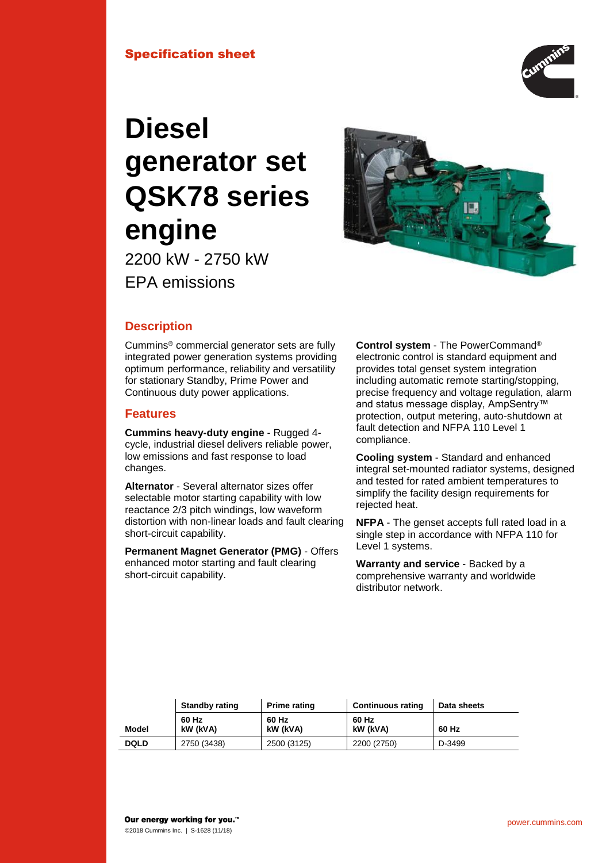# Specification sheet



# **Diesel generator set QSK78 series engine**



2200 kW - 2750 kW EPA emissions

# **Description**

Cummins® commercial generator sets are fully integrated power generation systems providing optimum performance, reliability and versatility for stationary Standby, Prime Power and Continuous duty power applications.

## **Features**

**Cummins heavy-duty engine** - Rugged 4 cycle, industrial diesel delivers reliable power, low emissions and fast response to load changes.

**Alternator** - Several alternator sizes offer selectable motor starting capability with low reactance 2/3 pitch windings, low waveform distortion with non-linear loads and fault clearing short-circuit capability.

**Permanent Magnet Generator (PMG)** - Offers enhanced motor starting and fault clearing short-circuit capability.

**Control system** - The PowerCommand® electronic control is standard equipment and provides total genset system integration including automatic remote starting/stopping, precise frequency and voltage regulation, alarm and status message display, AmpSentry™ protection, output metering, auto-shutdown at fault detection and NFPA 110 Level 1 compliance.

**Cooling system** - Standard and enhanced integral set-mounted radiator systems, designed and tested for rated ambient temperatures to simplify the facility design requirements for rejected heat.

**NFPA** - The genset accepts full rated load in a single step in accordance with NFPA 110 for Level 1 systems.

**Warranty and service** - Backed by a comprehensive warranty and worldwide distributor network.

|             | <b>Standby rating</b> | <b>Prime rating</b> | <b>Continuous rating</b> | Data sheets |
|-------------|-----------------------|---------------------|--------------------------|-------------|
| Model       | 60 Hz<br>kW (kVA)     | 60 Hz<br>kW (kVA)   | 60 Hz<br>kW (kVA)        | 60 Hz       |
| <b>DQLD</b> | 2750 (3438)           | 2500 (3125)         | 2200 (2750)              | D-3499      |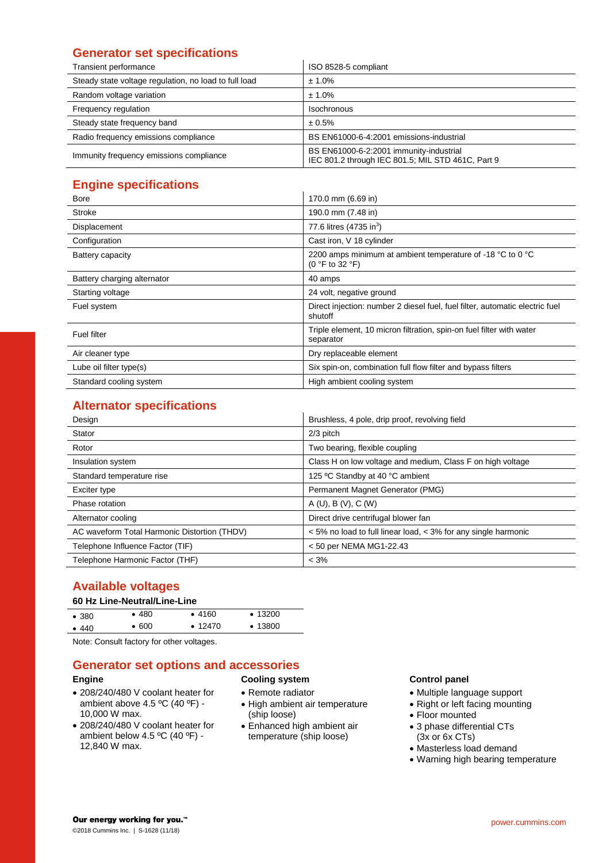# **Generator set specifications**

| Transient performance                                 | ISO 8528-5 compliant                                                                         |
|-------------------------------------------------------|----------------------------------------------------------------------------------------------|
| Steady state voltage regulation, no load to full load | ± 1.0%                                                                                       |
| Random voltage variation                              | ± 1.0%                                                                                       |
| Frequency regulation                                  | <b>Isochronous</b>                                                                           |
| Steady state frequency band                           | ± 0.5%                                                                                       |
| Radio frequency emissions compliance                  | BS EN61000-6-4:2001 emissions-industrial                                                     |
| Immunity frequency emissions compliance               | BS EN61000-6-2:2001 immunity-industrial<br>IEC 801.2 through IEC 801.5; MIL STD 461C, Part 9 |

# **Engine specifications**

| <b>Bore</b>                 | 170.0 mm (6.69 in)                                                                              |
|-----------------------------|-------------------------------------------------------------------------------------------------|
|                             |                                                                                                 |
| Stroke                      | 190.0 mm (7.48 in)                                                                              |
| Displacement                | 77.6 litres (4735 in <sup>3</sup> )                                                             |
| Configuration               | Cast iron, V 18 cylinder                                                                        |
| Battery capacity            | 2200 amps minimum at ambient temperature of -18 °C to 0 °C<br>$(0 \degree F$ to 32 $\degree F)$ |
| Battery charging alternator | 40 amps                                                                                         |
| Starting voltage            | 24 volt, negative ground                                                                        |
| Fuel system                 | Direct injection: number 2 diesel fuel, fuel filter, automatic electric fuel<br>shutoff         |
| Fuel filter                 | Triple element, 10 micron filtration, spin-on fuel filter with water<br>separator               |
| Air cleaner type            | Dry replaceable element                                                                         |
| Lube oil filter type(s)     | Six spin-on, combination full flow filter and bypass filters                                    |
| Standard cooling system     | High ambient cooling system                                                                     |

# **Alternator specifications**

| Design                                       | Brushless, 4 pole, drip proof, revolving field                 |
|----------------------------------------------|----------------------------------------------------------------|
| Stator                                       | $2/3$ pitch                                                    |
| Rotor                                        | Two bearing, flexible coupling                                 |
| Insulation system                            | Class H on low voltage and medium, Class F on high voltage     |
| Standard temperature rise                    | 125 °C Standby at 40 °C ambient                                |
| Exciter type                                 | Permanent Magnet Generator (PMG)                               |
| Phase rotation                               | A(U), B(V), C(W)                                               |
| Alternator cooling                           | Direct drive centrifugal blower fan                            |
| AC waveform Total Harmonic Distortion (THDV) | < 5% no load to full linear load, < 3% for any single harmonic |
| Telephone Influence Factor (TIF)             | < 50 per NEMA MG1-22.43                                        |
| Telephone Harmonic Factor (THF)              | $< 3\%$                                                        |

# **Available voltages**

## **60 Hz Line-Neutral/Line-Line**

| • 380 | •480  | •4160         | $\cdot$ 13200 |  |
|-------|-------|---------------|---------------|--|
| • 440 | • 600 | $\cdot$ 12470 | •13800        |  |
| .     | .     |               |               |  |

Note: Consult factory for other voltages.

## **Generator set options and accessories**

## **Engine**

- 208/240/480 V coolant heater for ambient above  $4.5 \degree C$  (40  $\degree F$ ) -10,000 W max.
- 208/240/480 V coolant heater for ambient below 4.5 ºC (40 ºF) - 12,840 W max.

#### **Cooling system**

- Remote radiator
- High ambient air temperature (ship loose)
- Enhanced high ambient air temperature (ship loose)

## **Control panel**

- Multiple language support
- Right or left facing mounting
- Floor mounted
- 3 phase differential CTs (3x or 6x CTs)
- Masterless load demand
- Warning high bearing temperature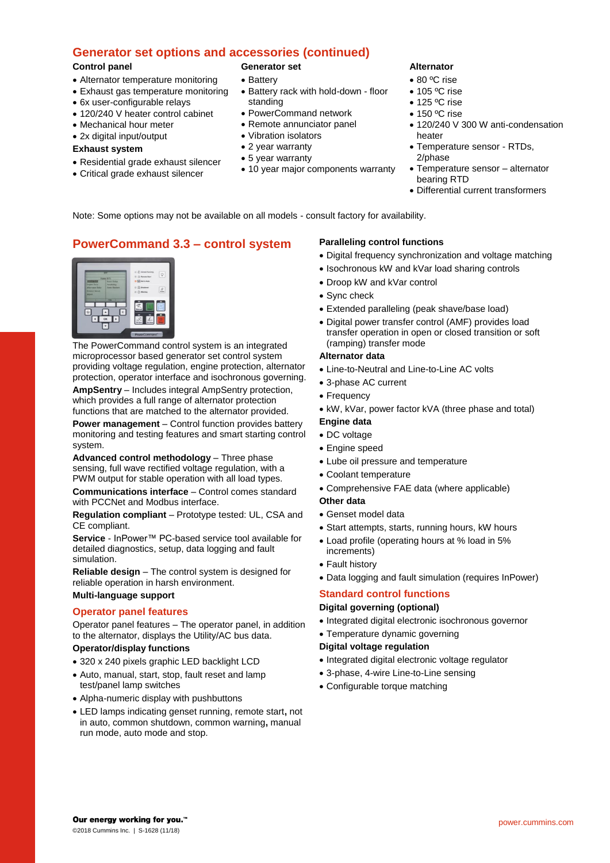# **Generator set options and accessories (continued)**

#### **Control panel**

- Alternator temperature monitoring
- Exhaust gas temperature monitoring
- 6x user-configurable relays
- 120/240 V heater control cabinet
- Mechanical hour meter
- 2x digital input/output

#### **Exhaust system**

- Residential grade exhaust silencer
- Critical grade exhaust silencer

## **Generator set**

- Battery
- Battery rack with hold-down floor standing
- PowerCommand network
- Remote annunciator panel
- Vibration isolators
- 2 year warranty
- 5 year warranty
- 10 year major components warranty

### **Alternator**

- 80 °C rise
- 105 °C rise
- 125 °C rise
- 150 °C rise
- 120/240 V 300 W anti-condensation heater
- Temperature sensor RTDs, 2/phase
- Temperature sensor alternator bearing RTD
- Differential current transformers

Note: Some options may not be available on all models - consult factory for availability.

# **PowerCommand 3.3 – control system**



The PowerCommand control system is an integrated microprocessor based generator set control system providing voltage regulation, engine protection, alternator protection, operator interface and isochronous governing.

**AmpSentry** – Includes integral AmpSentry protection, which provides a full range of alternator protection functions that are matched to the alternator provided.

**Power management** – Control function provides battery monitoring and testing features and smart starting control system.

**Advanced control methodology** – Three phase sensing, full wave rectified voltage regulation, with a PWM output for stable operation with all load types.

**Communications interface** – Control comes standard with PCCNet and Modbus interface.

**Regulation compliant** – Prototype tested: UL, CSA and CE compliant.

**Service** - InPower™ PC-based service tool available for detailed diagnostics, setup, data logging and fault simulation.

**Reliable design** – The control system is designed for reliable operation in harsh environment.

## **Multi-language support**

#### **Operator panel features**

Operator panel features – The operator panel, in addition to the alternator, displays the Utility/AC bus data.

#### **Operator/display functions**

- 320 x 240 pixels graphic LED backlight LCD
- Auto, manual, start, stop, fault reset and lamp test/panel lamp switches
- Alpha-numeric display with pushbuttons
- LED lamps indicating genset running, remote start**,** not in auto, common shutdown, common warning**,** manual run mode, auto mode and stop.

#### **Paralleling control functions**

- Digital frequency synchronization and voltage matching
- Isochronous kW and kVar load sharing controls
- Droop kW and kVar control
- Sync check
- Extended paralleling (peak shave/base load)
- Digital power transfer control (AMF) provides load transfer operation in open or closed transition or soft (ramping) transfer mode

#### **Alternator data**

- Line-to-Neutral and Line-to-Line AC volts
- 3-phase AC current
- Frequency
	- kW, kVar, power factor kVA (three phase and total)

#### **Engine data**

- DC voltage
- Engine speed
- Lube oil pressure and temperature
- Coolant temperature
- Comprehensive FAE data (where applicable)

#### **Other data**

- Genset model data
- Start attempts, starts, running hours, kW hours
- Load profile (operating hours at % load in 5% increments)
- Fault history
- Data logging and fault simulation (requires InPower)

# **Standard control functions**

## **Digital governing (optional)**

- Integrated digital electronic isochronous governor
- Temperature dynamic governing

#### **Digital voltage regulation**

- Integrated digital electronic voltage regulator
- 3-phase, 4-wire Line-to-Line sensing
- Configurable torque matching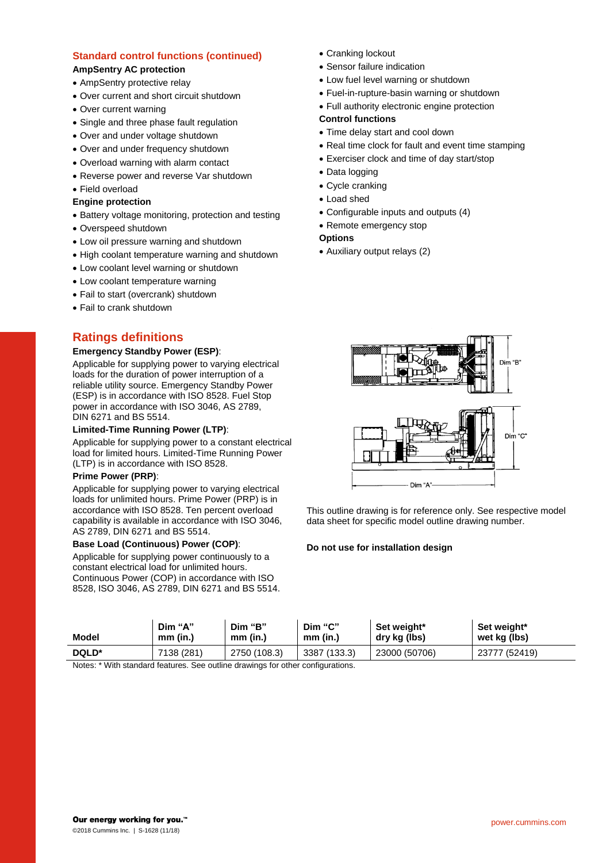## **Standard control functions (continued)**

#### **AmpSentry AC protection**

- AmpSentry protective relay
- Over current and short circuit shutdown
- Over current warning
- Single and three phase fault regulation
- Over and under voltage shutdown
- Over and under frequency shutdown
- Overload warning with alarm contact
- Reverse power and reverse Var shutdown
- Field overload

#### **Engine protection**

- Battery voltage monitoring, protection and testing
- Overspeed shutdown
- Low oil pressure warning and shutdown
- High coolant temperature warning and shutdown
- Low coolant level warning or shutdown
- Low coolant temperature warning
- Fail to start (overcrank) shutdown
- Fail to crank shutdown

# **Ratings definitions**

#### **Emergency Standby Power (ESP)**:

Applicable for supplying power to varying electrical loads for the duration of power interruption of a reliable utility source. Emergency Standby Power (ESP) is in accordance with ISO 8528. Fuel Stop power in accordance with ISO 3046, AS 2789, DIN 6271 and BS 5514.

#### **Limited-Time Running Power (LTP)**:

Applicable for supplying power to a constant electrical load for limited hours. Limited-Time Running Power (LTP) is in accordance with ISO 8528.

#### **Prime Power (PRP)**:

Applicable for supplying power to varying electrical loads for unlimited hours. Prime Power (PRP) is in accordance with ISO 8528. Ten percent overload capability is available in accordance with ISO 3046, AS 2789, DIN 6271 and BS 5514.

#### **Base Load (Continuous) Power (COP)**:

Applicable for supplying power continuously to a constant electrical load for unlimited hours. Continuous Power (COP) in accordance with ISO 8528, ISO 3046, AS 2789, DIN 6271 and BS 5514.

- Cranking lockout
- Sensor failure indication
- Low fuel level warning or shutdown
- Fuel-in-rupture-basin warning or shutdown
- Full authority electronic engine protection

#### **Control functions**

- Time delay start and cool down
- Real time clock for fault and event time stamping
- Exerciser clock and time of day start/stop
- Data logging
- Cycle cranking
- Load shed
- Configurable inputs and outputs (4)
- Remote emergency stop

#### **Options**

• Auxiliary output relays (2)



This outline drawing is for reference only. See respective model data sheet for specific model outline drawing number.

#### **Do not use for installation design**

| Model | Dim "A"    | Dim "B"      | Dim "C"      | Set weight*   | Set weight*   |
|-------|------------|--------------|--------------|---------------|---------------|
|       | $mm$ (in.) | $mm$ (in.)   | $mm$ (in.)   | dry kg (lbs)  | wet kg (lbs)  |
| DQLD* | 7138 (281) | 2750 (108.3) | 3387 (133.3) | 23000 (50706) | 23777 (52419) |

Notes: \* With standard features. See outline drawings for other configurations.